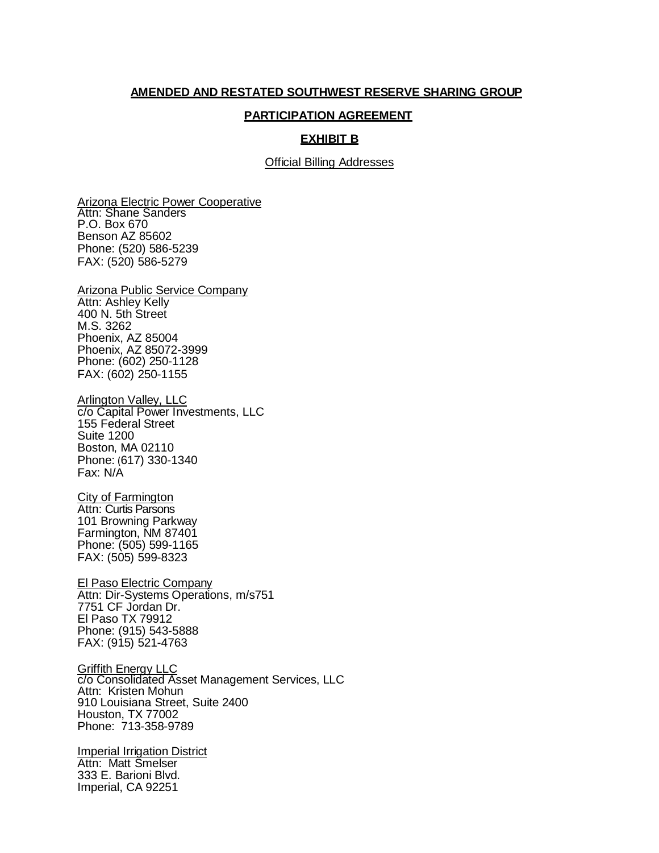## **AMENDED AND RESTATED SOUTHWEST RESERVE SHARING GROUP**

## **PARTICIPATION AGREEMENT**

## **EXHIBIT B**

Official Billing Addresses

Arizona Electric Power Cooperative Attn: Shane Sanders P.O. Box 670 Benson AZ 85602 Phone: (520) 586-5239 FAX: (520) 586-5279

Arizona Public Service Company Attn: Ashley Kelly 400 N. 5th Street M.S. 3262 Phoenix, AZ 85004 Phoenix, AZ 85072-3999 Phone: (602) 250-1128 FAX: (602) 250-1155

Arlington Valley, LLC c/o Capital Power Investments, LLC 155 Federal Street Suite 1200 Boston, MA 02110 Phone: (617) 330-1340 Fax: N/A

City of Farmington Attn: Curtis Parsons 101 Browning Parkway Farmington, NM 87401 Phone: (505) 599-1165 FAX: (505) 599-8323

El Paso Electric Company Attn: Dir-Systems Operations, m/s751 7751 CF Jordan Dr. El Paso TX 79912 Phone: (915) 543-5888 FAX: (915) 521-4763

**Griffith Energy LLC** c/o Consolidated Asset Management Services, LLC Attn: Kristen Mohun 910 Louisiana Street, Suite 2400 Houston, TX 77002 Phone: 713-358-9789

Imperial Irrigation District Attn: Matt Smelser 333 E. Barioni Blvd. Imperial, CA 92251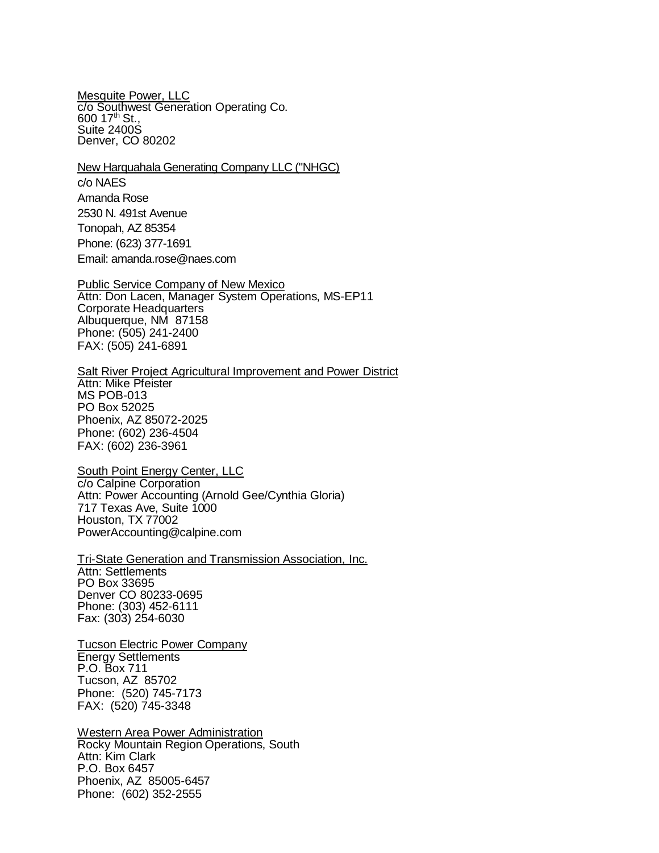Mesquite Power, LLC c/o Southwest Generation Operating Co. 600 17th St., Suite 2400S Denver, CO 80202

New Harquahala Generating Company LLC ("NHGC)

c/o NAES Amanda Rose 2530 N. 491st Avenue Tonopah, AZ 85354 Phone: (623) 377-1691 Email: amand[a.rose@naes.com](mailto:rose@naes.com)

Public Service Company of New Mexico Attn: Don Lacen, Manager System Operations, MS-EP11 Corporate Headquarters Albuquerque, NM 87158 Phone: (505) 241-2400 FAX: (505) 241-6891

**Salt River Project Agricultural Improvement and Power District** Attn: Mike Pfeister MS POB-013 PO Box 52025 Phoenix, AZ 85072-2025 Phone: (602) 236-4504 FAX: (602) 236-3961

South Point Energy Center, LLC c/o Calpine Corporation Attn: Power Accounting (Arnold Gee/Cynthia Gloria) 717 Texas Ave, Suite 1000 Houston, TX 77002 [PowerAccounting@calpine.com](mailto:PowerAccounting@calpine.com)

Tri-State Generation and Transmission Association, Inc. Attn: Settlements PO Box 33695 Denver CO 80233-0695 Phone: (303) 452-6111 Fax: (303) 254-6030

Tucson Electric Power Company Energy Settlements P.O. Box 711 Tucson, AZ 85702 Phone: (520) 745-7173 FAX: (520) 745-3348

Western Area Power Administration Rocky Mountain Region Operations, South Attn: Kim Clark P.O. Box 6457 Phoenix, AZ 85005-6457 Phone: (602) 352-2555